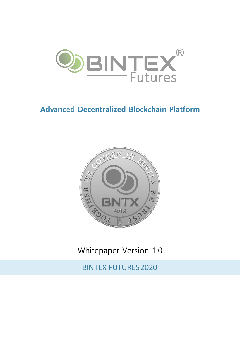

# **Advanced Decentralized Blockchain Platform**



Whitepaper Version 1.0

**BINTEX FUTURES 2020**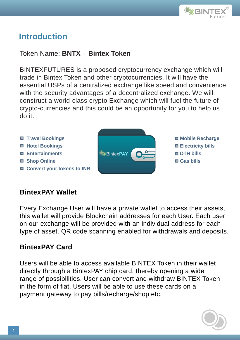

## **Introduction**

### Token Name: **BNTX** – **Bintex Token**

BINTEXFUTURES is a proposed cryptocurrency exchange which will trade in Bintex Token and other cryptocurrencies. It will have the essential USPs of a centralized exchange like speed and convenience with the security advantages of a decentralized exchange. We will construct a world-class crypto Exchange which will fuel the future of crypto-currencies and this could be an opportunity for you to help us do it.



### **BintexPAY Wallet**

Every Exchange User will have a private wallet to access their assets, this wallet will provide Blockchain addresses for each User. Each user on our exchange will be provided with an individual address for each type of asset. QR code scanning enabled for withdrawals and deposits.

### **BintexPAY Card**

Users will be able to access available BINTEX Token in their wallet directly through a BintexPAY chip card, thereby opening a wide range of possibilities. User can convert and withdraw BINTEX Token in the form of fiat. Users will be able to use these cards on a payment gateway to pay bills/recharge/shop etc.

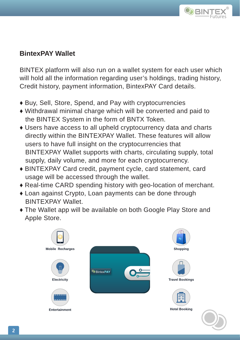

### **BintexPAY Wallet**

BINTEX platform will also run on a wallet system for each user which will hold all the information regarding user's holdings, trading history, Credit history, payment information, BintexPAY Card details.

- ♦ Buy, Sell, Store, Spend, and Pay with cryptocurrencies
- ♦ Withdrawal minimal charge which will be converted and paid to the BINTEX System in the form of BNTX Token.
- ♦ Users have access to all upheld cryptocurrency data and charts directly within the BINTEXPAY Wallet. These features will allow users to have full insight on the cryptocurrencies that BINTEXPAY Wallet supports with charts, circulating supply, total supply, daily volume, and more for each cryptocurrency.
- ♦ BINTEXPAY Card credit, payment cycle, card statement, card usage will be accessed through the wallet.
- ♦ Real-time CARD spending history with geo-location of merchant.
- ♦ Loan against Crypto, Loan payments can be done through BINTEXPAY Wallet.
- ♦ The Wallet app will be available on both Google Play Store and Apple Store.

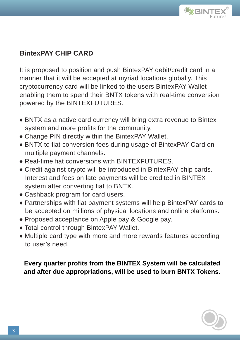

## **BintexPAY CHIP CARD**

It is proposed to position and push BintexPAY debit/credit card in a manner that it will be accepted at myriad locations globally. This cryptocurrency card will be linked to the users BintexPAY Wallet enabling them to spend their BNTX tokens with real-time conversion powered by the BINTEXFUTURES.

- ♦ BNTX as a native card currency will bring extra revenue to Bintex system and more profits for the community.
- ♦ Change PIN directly within the BintexPAY Wallet.
- BNTX to fiat conversion fees during usage of BintexPAY Card on multiple payment channels.
- $\triangle$  Real-time fiat conversions with BINTEXFUTURES.
- ♦ Credit against crypto will be introduced in BintexPAY chip cards. Interest and fees on late payments will be credited in BINTEX system after converting fiat to BNTX.
- ♦ Cashback program for card users.
- Partnerships with fiat payment systems will help BintexPAY cards to be accepted on millions of physical locations and online platforms.
- ♦ Proposed acceptance on Apple pay & Google pay.
- ♦ Total control through BintexPAY Wallet.
- ♦ Multiple card type with more and more rewards features according to user's need.

**Every quarter profits from the BINTEX System will be calculated and after due appropriations, will be used to burn BNTX Tokens.**

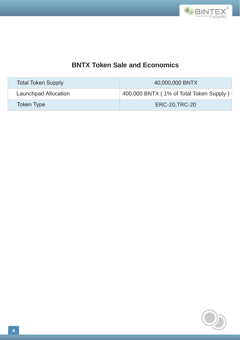

## **BNTX Token Sale and Economics**

| <b>Total Token Supply</b> | 40,000,000 BNTX                         |
|---------------------------|-----------------------------------------|
| Launchpad Allocation      | 400,000 BNTX (1% of Total Token Supply) |
| <b>Token Type</b>         | <b>ERC-20, TRC-20</b>                   |

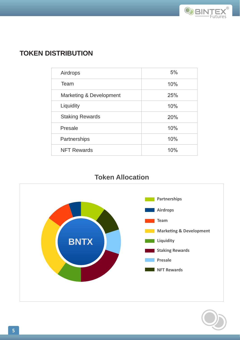

## **TOKEN DISTRIBUTION**

| Airdrops                | 5%  |
|-------------------------|-----|
| Team                    | 10% |
| Marketing & Development | 25% |
| Liquidity               | 10% |
| <b>Staking Rewards</b>  | 20% |
| Presale                 | 10% |
| Partnerships            | 10% |
| <b>NFT Rewards</b>      | 10% |

## **Token Allocation**



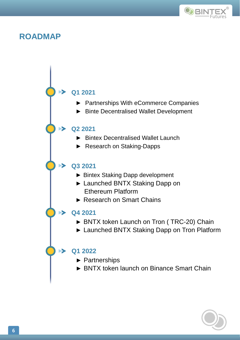

### **ROADMAP**



- ► Partnerships With eCommerce Companies
- ► Binte Decentralised Wallet Development

#### **Q2 2021**

 $\blacktriangleright$ 

- ► Bintex Decentralised Wallet Launch
- ► Research on Staking-Dapps

#### **Q3 2021**

- ► Bintex Staking Dapp development
- ► Launched BNTX Staking Dapp on Ethereum Platform
- ► Research on Smart Chains

#### $\rightarrow$  04 2021

- ► BNTX token Launch on Tron ( TRC-20) Chain
- ► Launched BNTX Staking Dapp on Tron Platform

#### **Q1 2022**

- ► Partnerships
- ► BNTX token launch on Binance Smart Chain

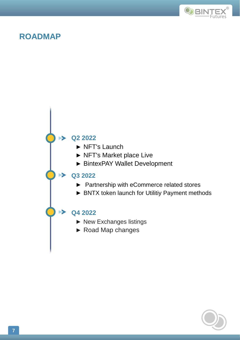

## **ROADMAP**



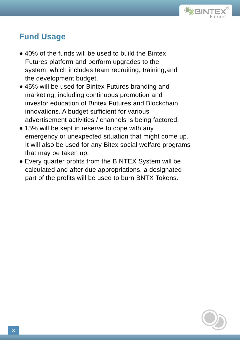

## **Fund Usage**

- ♦ 40% of the funds will be used to build the Bintex Futures platform and perform upgrades to the system, which includes team recruiting, training,and the development budget.
- ♦ 45% will be used for Bintex Futures branding and marketing, including continuous promotion and investor education of Bintex Futures and Blockchain innovations. A budget sufficient for various advertisement activities / channels is being factored.
- ◆ 15% will be kept in reserve to cope with any emergency or unexpected situation that might come up. It will also be used for any Bitex social welfare programs that may be taken up.
- $\bullet$  Every quarter profits from the BINTEX System will be calculated and after due appropriations, a designated part of the profits will be used to burn BNTX Tokens.

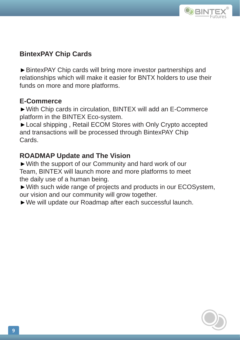

## **BintexPAY Chip Cards**

►BintexPAY Chip cards will bring more investor partnerships and relationships which will make it easier for BNTX holders to use their funds on more and more platforms.

#### **E-Commerce**

►With Chip cards in circulation, BINTEX will add an E-Commerce platform in the BINTEX Eco-system.

►Local shipping , Retail ECOM Stores with Only Crypto accepted and transactions will be processed through BintexPAY Chip Cards.

### **ROADMAP Update and The Vision**

►With the support of our Community and hard work of our Team, BINTEX will launch more and more platforms to meet the daily use of a human being.

►With such wide range of projects and products in our ECOSystem, our vision and our community will grow together.

►We will update our Roadmap after each successful launch.

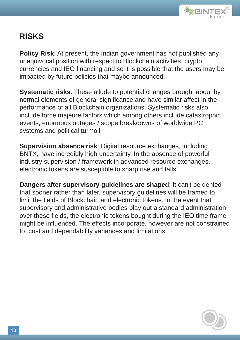

# **RISKS**

**Policy Risk**: At present, the Indian government has not published any unequivocal position with respect to Blockchain activities, crypto currencies and IEO financing and so it is possible that the users may be impacted by future policies that maybe announced.

**Systematic risks**: These allude to potential changes brought about by normal elements of general significance and have similar affect in the performance of all Blockchain organizations. Systematic risks also include force majeure factors which among others include catastrophic events, enormous outages / scope breakdowns of worldwide PC systems and political turmoil.

**Supervision absence risk**: Digital resource exchanges, including BNTX, have incredibly high uncertainty. In the absence of powerful industry supervision / framework in advanced resource exchanges, electronic tokens are susceptible to sharp rise and falls.

**Dangers after supervisory guidelines are shaped**: It can't be denied that sooner rather than later, supervisory guidelines will be framed to limit the fields of Blockchain and electronic tokens. In the event that supervisory and administrative bodies play out a standard administration over these fields, the electronic tokens bought during the IEO time frame might be influenced. The effects incorporate, however are not constrained to, cost and dependability variances and limitations.

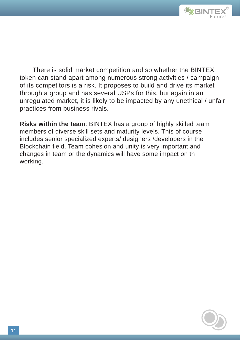

There is solid market competition and so whether the BINTEX token can stand apart among numerous strong activities / campaign of its competitors is a risk. It proposes to build and drive its market through a group and has several USPs for this, but again in an unregulated market, it is likely to be impacted by any unethical / unfair practices from business rivals.

**Risks within the team**: BINTEX has a group of highly skilled team members of diverse skill sets and maturity levels. This of course includes senior specialized experts/ designers /developers in the Blockchain field. Team cohesion and unity is very important and changes in team or the dynamics will have some impact on th working.

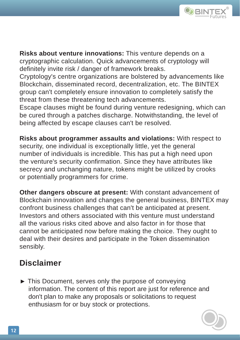

**Risks about venture innovations:** This venture depends on a cryptographic calculation. Quick advancements of cryptology will definitely invite risk / danger of framework breaks.

Cryptology's centre organizations are bolstered by advancements like Blockchain, disseminated record, decentralization, etc. The BINTEX group can't completely ensure innovation to completely satisfy the threat from these threatening tech advancements.

Escape clauses might be found during venture redesigning, which can be cured through a patches discharge. Notwithstanding, the level of being affected by escape clauses can't be resolved.

**Risks about programmer assaults and violations:** With respect to security, one individual is exceptionally little, yet the general number of individuals is incredible. This has put a high need upon the venture's security confirmation. Since they have attributes like secrecy and unchanging nature, tokens might be utilized by crooks or potentially programmers for crime.

**Other dangers obscure at present:** With constant advancement of Blockchain innovation and changes the general business, BINTEX may confront business challenges that can't be anticipated at present. Investors and others associated with this venture must understand all the various risks cited above and also factor in for those that cannot be anticipated now before making the choice. They ought to deal with their desires and participate in the Token dissemination sensibly.

# **Disclaimer**

► This Document, serves only the purpose of conveying information. The content of this report are just for reference and don't plan to make any proposals or solicitations to request enthusiasm for or buy stock or protections.

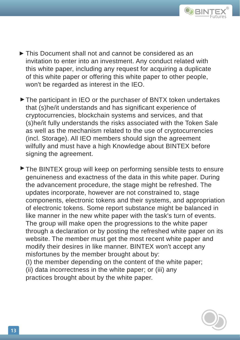

- ► This Document shall not and cannot be considered as an invitation to enter into an investment. Any conduct related with this white paper, including any request for acquiring a duplicate of this white paper or offering this white paper to other people, won't be regarded as interest in the IEO.
- ▶ The participant in IEO or the purchaser of BNTX token undertakes that (s)he/it understands and has significant experience of cryptocurrencies, blockchain systems and services, and that (s)he/it fully understands the risks associated with the Token Sale as well as the mechanism related to the use of cryptocurrencies (incl. Storage). All IEO members should sign the agreement wilfully and must have a high Knowledge about BINTEX before signing the agreement.

▶ The BINTEX group will keep on performing sensible tests to ensure genuineness and exactness of the data in this white paper. During the advancement procedure, the stage might be refreshed. The updates incorporate, however are not constrained to, stage components, electronic tokens and their systems, and appropriation of electronic tokens. Some report substance might be balanced in like manner in the new white paper with the task's turn of events. The group will make open the progressions to the white paper through a declaration or by posting the refreshed white paper on its website. The member must get the most recent white paper and modify their desires in like manner. BINTEX won't accept any misfortunes by the member brought about by: (I) the member depending on the content of the white paper;

(ii) data incorrectness in the white paper; or (iii) any

practices brought about by the white paper.

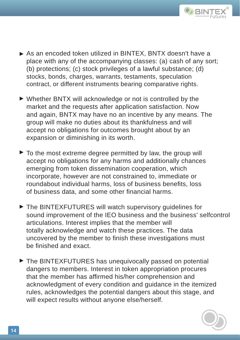

- ► As an encoded token utilized in BINTEX, BNTX doesn't have a place with any of the accompanying classes: (a) cash of any sort; (b) protections; (c) stock privileges of a lawful substance; (d) stocks, bonds, charges, warrants, testaments, speculation contract, or different instruments bearing comparative rights.
- ► Whether BNTX will acknowledge or not is controlled by the market and the requests after application satisfaction. Now and again, BNTX may have no an incentive by any means. The group will make no duties about its thankfulness and will accept no obligations for outcomes brought about by an expansion or diminishing in its worth.
- ▶ To the most extreme degree permitted by law, the group will accept no obligations for any harms and additionally chances emerging from token dissemination cooperation, which incorporate, however are not constrained to, immediate or roundabout individual harms, loss of business benefits, loss of business data, and some other financial harms.
- ► The BINTEXFUTURES will watch supervisory guidelines for sound improvement of the IEO business and the business' selfcontrol articulations. Interest implies that the member will totally acknowledge and watch these practices. The data uncovered by the member to finish these investigations must be finished and exact.
- ► The BINTEXFUTURES has unequivocally passed on potential dangers to members. Interest in token appropriation procures that the member has affirmed his/her comprehension and acknowledgment of every condition and guidance in the itemized rules, acknowledges the potential dangers about this stage, and will expect results without anyone else/herself.

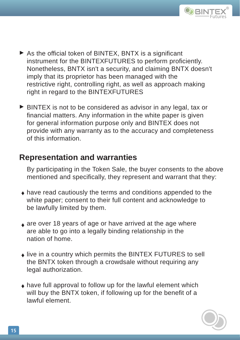

- ▶ As the official token of BINTEX, BNTX is a significant instrument for the BINTEXFUTURES to perform proficiently. Nonetheless, BNTX isn't a security, and claiming BNTX doesn't imply that its proprietor has been managed with the restrictive right, controlling right, as well as approach making right in regard to the BINTEXFUTURES
- ► BINTEX is not to be considered as advisor in any legal, tax or financial matters. Any information in the white paper is given for general information purpose only and BINTEX does not provide with any warranty as to the accuracy and completeness of this information.

## **Representation and warranties**

By participating in the Token Sale, the buyer consents to the above mentioned and specifically, they represent and warrant that they:

- $\bullet$  have read cautiously the terms and conditions appended to the white paper; consent to their full content and acknowledge to be lawfully limited by them.
- $_{\color{red}\blacklozenge}$  are over 18 years of age or have arrived at the age where are able to go into a legally binding relationship in the nation of home.
- $\bullet$  live in a country which permits the BINTEX FUTURES to sell the BNTX token through a crowdsale without requiring any legal authorization.
- $\bullet$  have full approval to follow up for the lawful element which will buy the BNTX token, if following up for the benefit of a lawful element.

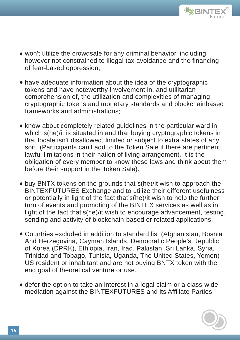

- won't utilize the crowdsale for any criminal behavior, including ♦ however not constrained to illegal tax avoidance and the financing of fear-based oppression;
- have adequate information about the idea of the cryptographic ♦ tokens and have noteworthy involvement in, and utilitarian comprehension of, the utilization and complexities of managing cryptographic tokens and monetary standards and blockchainbased frameworks and administrations;
- $\bullet$  know about completely related guidelines in the particular ward in which s(he)/it is situated in and that buying cryptographic tokens in that locale isn't disallowed, limited or subject to extra states of any sort. (Participants can't add to the Token Sale if there are pertinent lawful limitations in their nation of living arrangement. It is the obligation of every member to know these laws and think about them before their support in the Token Sale).
- buy BNTX tokens on the grounds that s(he)/it wish to approach the ♦ BINTEXFUTURES Exchange and to utilize their different usefulness or potentially in light of the fact that's(he)/it wish to help the further turn of events and promoting of the BINTEX services as well as in light of the fact that's(he)/it wish to encourage advancement, testing, sending and activity of blockchain-based or related applications.
- Countries excluded in addition to standard list (Afghanistan, Bosnia ♦ And Herzegovina, Cayman Islands, Democratic People's Republic of Korea (DPRK), Ethiopia, Iran, Iraq, Pakistan, Sri Lanka, Syria, Trinidad and Tobago, Tunisia, Uganda, The United States, Yemen) US resident or inhabitant and are not buying BNTX token with the end goal of theoretical venture or use.
- $\bullet$  defer the option to take an interest in a legal claim or a class-wide mediation against the BINTEXFUTURES and its Affiliate Parties.